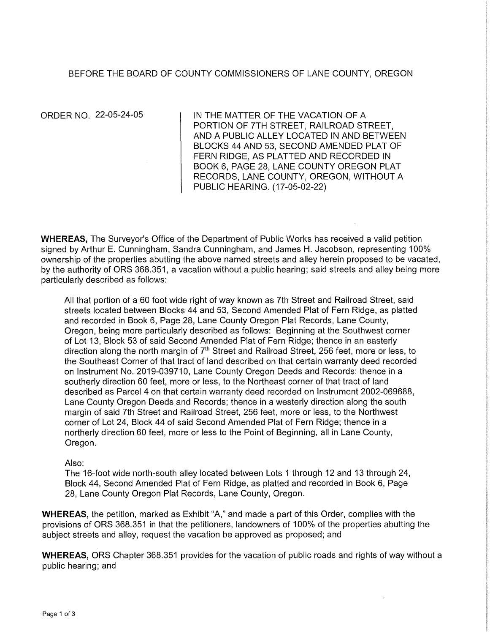## BEFORE THE BOARD OF COUNTY COMMISSIONERS OF LANE COUNTY, OREGON

ORDER NO. 22-05-24-05

IN THE MATTER OF THE VACATION OF A. PORTION OF ?TH STREET, RAILROAD STREET, AND A PUBLIC ALLEY LOCATED IN AND BETWEEN BLOCKS 44 AND 53, SECOND AMENDED PLAT OF FERN RIDGE, AS PLATTED AND RECORDED IN BOOK 6, PAGE 28, LANE COUNTY OREGON PLAT RECORDS, LANE COUNTY, OREGON, WITHOUT A PUBLIC HEARING. (17-05-02-22)

WHEREAS, The Surveyor's Office of the Department of Public Works has received a valid petition signed by Arthur E. Cunningham, Sandra Cunningham, and James H. Jacobson, representing 100% ownership of the properties abutting the above named streets and alley herein proposed to be vacated, by the authority of ORS 368.351, a vacation without a public hearing; said streets and alley being more particularly described as follows:

All that portion of a 60 foot wide right of way known as 7th Street and Railroad Street, said streets located between Blocks 44 and 53, Second Amended Plat of Fern Ridge, as platted and recorded in Book 6, Page 28, Lane County Oregon Plat Records, Lane County, Oregon, being more particularly described as follows: Beginning at the Southwest corner of Lot 13, Block 53 of said Second Amended Plat of Fern Ridge; thence in an easterly direction along the north margin of  $7<sup>th</sup>$  Street and Railroad Street, 256 feet, more or less, to the Southeast Corner of that tract of land described on that certain warranty deed recorded on Instrument No. 2019-039710, Lane County Oregon Deeds and Records; thence in a southerly direction 60 feet, more or less, to the Northeast corner of that tract of land described as Parcel 4 on that certain warranty deed recorded on Instrument 2002-069688, Lane County Oregon Deeds and Records; thence in a westerly direction along the south margin of said 7th Street and Railroad Street, 256 feet, more or less, to the Northwest corner of Lot 24, Block 44 of said Second Amended Plat of Fern Ridge; thence in a northerly direction 60 feet, more or less to the Point of Beginning, all in Lane County, Oregon.

#### Also:

The 16-foot wide north-south alley located between Lots 1 through 12 and 13 through 24, Block 44, Second Amended Plat of Fern Ridge, as platted and recorded in Book 6, Page 28, Lane County Oregon Plat Records, Lane County, Oregon.

**WHEREAS,** the petition, marked as Exhibit "A," and made a part of this Order, complies with the provisions of ORS 368.351 in that the petitioners, landowners of 100% of the properties abutting the subject streets and alley, request the vacation be approved as proposed; and

**WHEREAS,** ORS Chapter 368.351 provides for the vacation of public roads and rights of way without a public hearing; and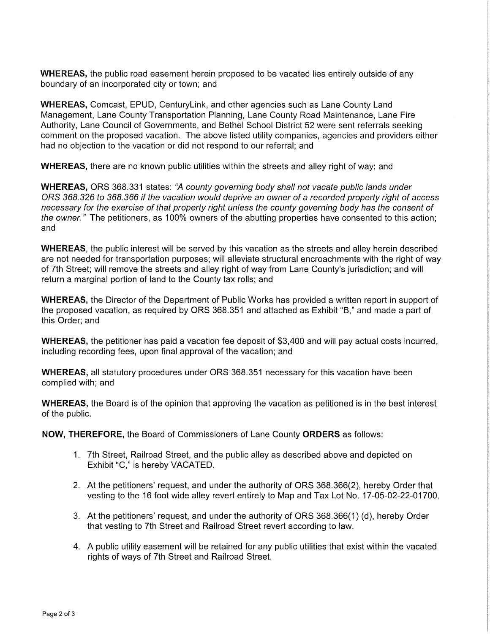WHEREAS, the public road easement herein proposed to be vacated lies entirely outside of any boundary of an incorporated city or town; and

WHEREAS, Comcast, EPUD, Centurylink, and other agencies such as Lane County Land Management, Lane County Transportation Planning, Lane County Road Maintenance, Lane Fire Authority, Lane Council of Governments, and Bethel School District 52 were sent referrals seeking comment on the proposed vacation. The above listed utility companies, agencies and providers either had no objection to the vacation or did not respond to our referral; and

WHEREAS, there are no known public utilities within the streets and alley right of way; and

WHEREAS, ORS 368.331 states: "A county governing body shall not vacate public lands under ORS 368.326 to 368.366 *if* the vacation would deprive an owner of a recorded property right of access necessary for the exercise of that property right unless the county governing body has the consent of the owner." The petitioners, as 100% owners of the abutting properties have consented to this action; and

**WHEREAS,** the public interest will be served by this vacation as the streets and alley herein described are not needed for transportation purposes; will alleviate structural encroachments with the right of way of 7th Street; will remove the streets and alley right of way from Lane County's jurisdiction; and will return a marginal portion of land to the County tax rolls; and

**WHEREAS,** the Director of the Department of Public Works has provided a written report in support of the proposed vacation, as required by ORS 368.351 and attached as Exhibit "B," and made a part of this Order; and

**WHEREAS,** the petitioner has paid a vacation fee deposit of \$3,400 and will pay actual costs incurred, including recording fees, upon final approval of the vacation; and

**WHEREAS,** all statutory procedures under ORS 368.351 necessary for this vacation have been complied with; and

**WHEREAS,** the Board is of the opinion that approving the vacation as petitioned is in the best interest of the public.

**NOW, THEREFORE,** the Board of Commissioners of Lane County **ORDERS** as follows:

- 1. 7th Street, Railroad Street, and the public alley as described above and depicted on Exhibit "C," is hereby VACATED.
- 2. At the petitioners' request, and under the authority of ORS 368.366(2), hereby Order that vesting to the 16 foot wide alley revert entirely to Map and Tax Lot No. 17-05-02-22-01700.
- 3. At the petitioners' request, and under the authority of ORS 368.366(1) (d), hereby Order that vesting to 7th Street and Railroad Street revert according to law.
- 4. A public utility easement will be retained for any public utilities that exist within the vacated rights of ways of 7th Street and Railroad Street.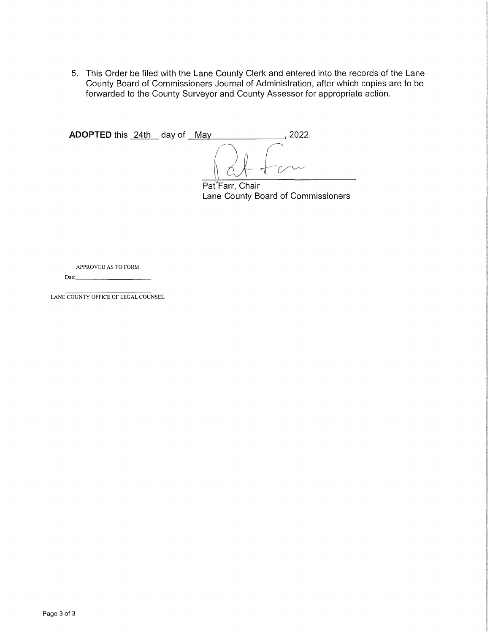5. This Order be filed with the Lane County Clerk and entered into the records of the Lane County Board of Commissioners Journal of Administration, after which copies are to be forwarded to the County Surveyor and County Assessor for appropriate action.

| <b>ADOPTED</b> this 24th day of May |  | በ22 |
|-------------------------------------|--|-----|
|                                     |  | -1  |

Pat<sup>Y</sup>Farr, Chair Lane County Board of Commissioners

APPROVED AS TO FORM Date \_\_\_\_\_\_\_ \_

LANE COUNTY OFFICE OF LEGAL COUNSEL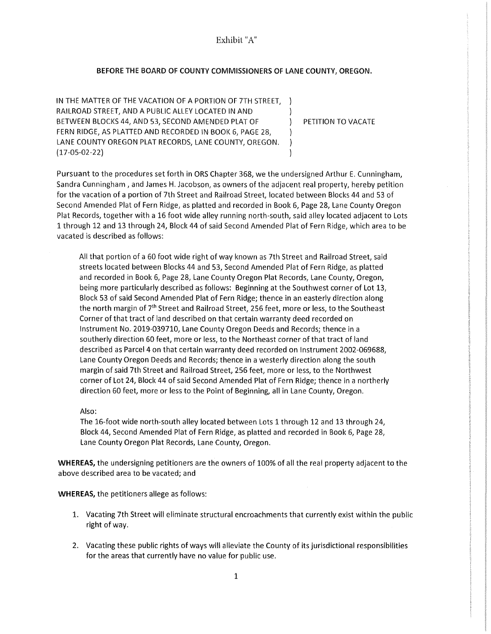Exhibit "A"

#### BEFORE THE BOARD OF COUNTY COMMISSIONERS OF LANE COUNTY, OREGON.

IN THE MATTER OF THE VACATION OF A PORTION OF 7TH STREET, RAILROAD STREET, AND A PUBLIC ALLEY LOCATED IN AND BETWEEN BLOCKS 44, AND 53, SECOND AMENDED PLAT OF FERN RIDGE, AS PLATTED AND RECORDED IN BOOK 6, PAGE 28, LANE COUNTY OREGON PLAT RECORDS, LANE COUNTY, OREGON. (17-05-02-22)

PETITION TO VACATE

 $\lambda$  $\lambda$  $\lambda$  $\lambda$  $\lambda$ 

Pursuant to the procedures set forth in ORS Chapter 368, we the undersigned Arthur E. Cunningham, Sandra Cunningham, and James H. Jacobson, as owners of the adjacent real property, hereby petition for the vacation of a portion of 7th Street and Railroad Street, located between Blocks 44 and 53 of Second Amended Plat of Fern Ridge, as platted and recorded in Book 6, Page 28, Lane County Oregon Plat Records, together with a 16 foot wide alley running north-south, said alley located adjacent to Lots 1 through 12 and 13 through 24, Block 44 of said Second Amended Plat of Fern Ridge, which area to be vacated is described as follows:

All that portion of a 60 foot wide right of way known as 7th Street and Railroad Street, said streets located between Blocks 44 and 53, Second Amended Plat of Fern Ridge, as platted and recorded in Book 6, Page 28, Lane County Oregon Plat Records, Lane County, Oregon, being more particularly described as follows: Beginning at the Southwest corner of Lot 13, Block 53 of said Second Amended Plat of Fern Ridge; thence in an easterly direction along the north margin of 7<sup>th</sup> Street and Railroad Street, 256 feet, more or less, to the Southeast Corner of that tract of land described on that certain warranty deed recorded on Instrument No. 2019-039710, Lane County Oregon Deeds and Records; thence in a southerly direction 60 feet, more or less, to the Northeast corner of that tract of land described as Parcel 4 on that certain warranty deed recorded on Instrument 2002-069688, Lane County Oregon Deeds and Records; thence in a westerly direction along the south margin of said 7th Street and Railroad Street, 256 feet, more or less, to the Northwest corner of Lot 24, Block 44 of said Second Amended Plat of Fern Ridge; thence in a northerly direction 60 feet, more or less to the Point of Beginning, all in Lane County, Oregon.

Also:

The 16-foot wide north-south alley located between Lots 1 through 12 and 13 through 24, Block 44, Second Amended Plat of Fern Ridge, as platted and recorded in Book 6, Page 28, Lane County Oregon Plat Records, Lane County, Oregon.

**WHEREAS,** the undersigning petitioners are the owners of 100% of all the real property adjacent to the above described area to be vacated; and

**WHEREAS,** the petitioners allege as follows:

- 1. Vacating 7th Street will eliminate structural encroachments that currently exist within the public right of way.
- 2. Vacating these public rights of ways will alleviate the County of its jurisdictional responsibilities for the areas that currently have no value for public use.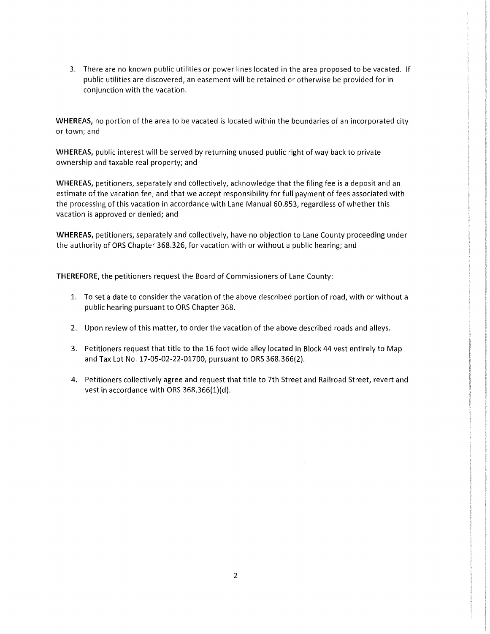3. There are no known public utilities or power lines located in the area proposed to be vacated. If public utilities are discovered, an easement will be retained or otherwise be provided for in conjunction with the vacation.

**WHEREAS,** no portion of the area to be vacated is located within the boundaries of an incorporated city or town; and

**WHEREAS,** public interest will be served by returning unused public right of way back to private ownership and taxable real property; and

**WHEREAS,** petitioners, separately and collectively, acknowledge that the filing fee is a deposit and an estimate of the vacation fee, and that we accept responsibility for full payment of fees associated with the processing of this vacation in accordance with Lane Manual 60.853, regardless of whether this vacation is approved or denied; and

**WHEREAS,** petitioners, separately and collectively, have no objection to Lane County proceeding under the authority of ORS Chapter 368.326, for vacation with or without a public hearing; and

**THEREFORE,** the petitioners request the Board of Commissioners of Lane County:

- 1. To set a date to consider the vacation of the above described portion of road, with or without a public hearing pursuant to ORS Chapter 368.
- 2. Upon review of this matter, to order the vacation of the above described roads and alleys.
- 3. Petitioners request that title to the 16 foot wide alley located **in** Block 44 vest entirely to Map and Tax Lot No. 17-05-02-22-01700, pursuant to ORS 368.366(2).
- 4. Petitioners collectively agree and request that title to 7th Street and Railroad Street, revert and vest in accordance with ORS 368.366(1)(d).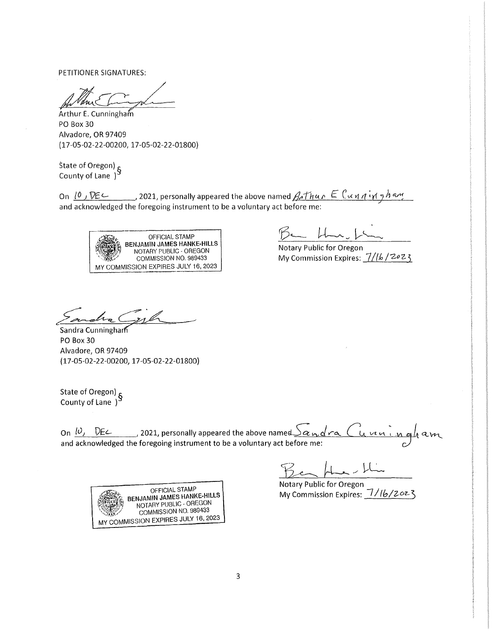PETITIONER SIGNATURES:

PETITIONER SIGNATURES:<br>
Arthur E. Cunningham<br>PO Box 30<br>
Alvadore OP 97409 PO Box 30 Alvadore, OR 97409 (17-05-02-22-00200, 17-05-02-22-01800)

State of Oregon) <sub>S</sub> County of Lane )

On  $10$  ,  $\nabla \epsilon$  , 2021, personally appeared the above named  $A$  thur  $\epsilon$  Cunningham and acknowledged the foregoing instrument to be a voluntary act before me:



 $Br- H-1$ 

Notary Public for Oregon My Commission Expires:  $7/16/2023$ 

Sandra Cypt

PO Box 30 Alvadore, OR 97409 (17-05-02-22-00200, 17-05-02-22-01800)

State of Oregon) <sub>£</sub> County of Lane )

On  $10,$  DEL, 2021, personally appeared the above named  $\frac{S_{\alpha}$  or a  $\alpha$  in  $\alpha$  m and a very and acknowledged the foregoing instrument to be a voluntary act before me:

Notary Public for Oregon My Commission Expires: 1/16/2023

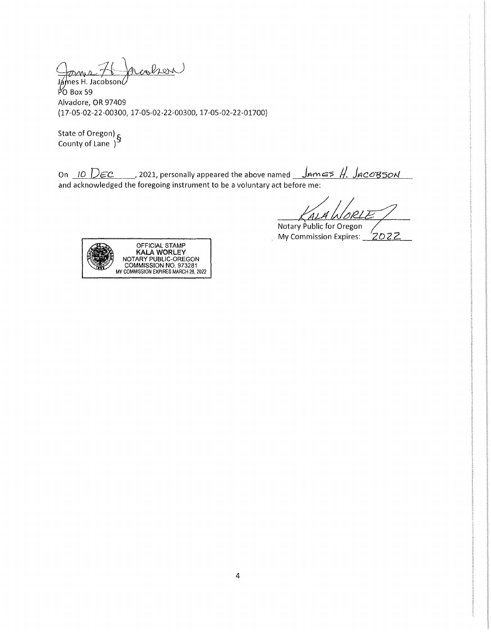oms 76 Jacobson

Jámes H. Jacobson ${\cal L}$  $\frac{1}{2}$  Box 59 Alvadore, OR 97409 (17-05-02-22-00300, 17-05-02-22-00300, 17-05-02-22-01700)

State of Oregon) <sub>S</sub> County of Lane )

On  $10$  *DEC* , 2021, personally appeared the above named James H. JacoB50N and acknowledged the foregoing instrument to be a voluntary act before me:

Notary Public for Oregon My Commission Expires: 2022

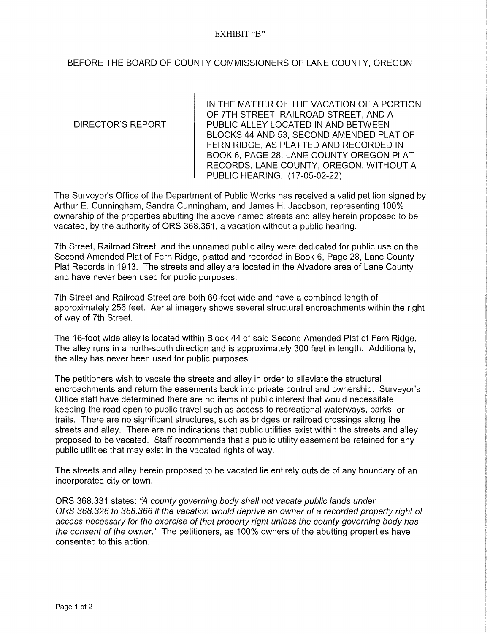### EXHIBIT "B"

# BEFORE THE BOARD OF COUNTY COMMISSIONERS OF LANE COUNTY, OREGON

### DIRECTOR'S REPORT

IN THE MATTER OF THE VACATION OF A PORTION OF ?TH STREET, RAILROAD STREET, AND A PUBLIC ALLEY LOCATED IN AND BETWEEN BLOCKS 44 AND 53, SECOND AMENDED PLAT OF FERN RIDGE, AS PLATTED AND RECORDED IN BOOK 6, PAGE 28, LANE COUNTY OREGON PLAT RECORDS, LANE COUNTY, OREGON, WITHOUT A PUBLIC HEARING. (17-05-02-22)

The Surveyor's Office of the Department of Public Works has received a valid petition signed by Arthur E. Cunningham, Sandra Cunningham, and James H. Jacobson, representing 100% ownership of the properties abutting the above named streets and alley herein proposed to be vacated, by the authority of ORS 368.351, a vacation without a public hearing.

7th Street, Railroad Street, and the unnamed public alley were dedicated for public use on the Second Amended Plat of Fern Ridge, platted and recorded in Book 6, Page 28, Lane County Plat Records in 1913. The streets and alley are located in the Alvadore area of Lane County and have never been used for public purposes.

7th Street and Railroad Street are both 60-feet wide and have a combined length of approximately 256 feet. Aerial imagery shows several structural encroachments within the right of way of 7th Street.

The 16-foot wide alley is located within Block 44 of said Second Amended Plat of Fern Ridge. The alley runs in a north-south direction and is approximately 300 feet in length. Additionally, the alley has never been used for public purposes.

The petitioners wish to vacate the streets and alley in order to alleviate the structural encroachments and return the easements back into private control and ownership. Surveyor's Office staff have determined there are no items of public interest that would necessitate keeping the road open to public travel such as access to recreational waterways, parks, or trails. There are no significant structures, such as bridges or railroad crossings along the streets and alley. There are no indications that public utilities exist within the streets and alley proposed to be vacated. Staff recommends that a public utility easement be retained for any public utilities that may exist in the vacated rights of way.

The streets and alley herein proposed to be vacated lie entirely outside of any boundary of an incorporated city or town.

ORS 368.331 states: "A county governing body shall not vacate public lands under ORS 368.326 to 368.366 if the vacation would deprive an owner of a recorded property right of access necessary for the exercise of that property right unless the county governing body has the consent of the owner." The petitioners, as 100% owners of the abutting properties have consented to this action.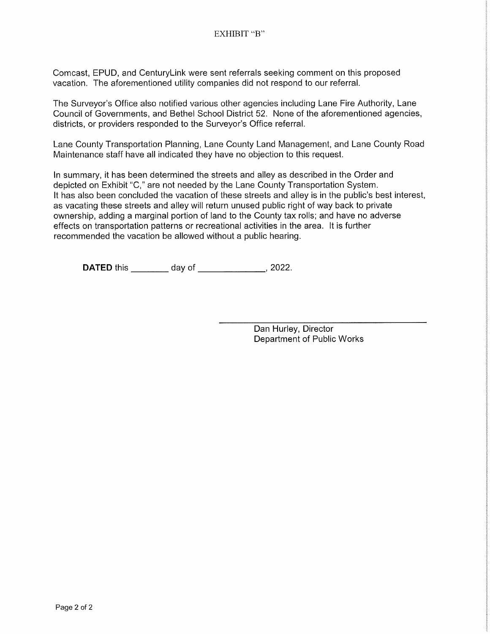Comcast, EPUD, and Centurylink were sent referrals seeking comment on this proposed vacation. The aforementioned utility companies did not respond to our referral.

The Surveyor's Office also notified various other agencies including Lane Fire Authority, Lane Council of Governments, and Bethel School District 52. None of the aforementioned agencies, districts, or providers responded to the Surveyor's Office referral.

Lane County Transportation Planning, Lane County Land Management, and Lane County Road Maintenance staff have all indicated they have no objection to this request.

In summary, it has been determined the streets and alley as described in the Order and depicted on Exhibit "C," are not needed by the Lane County Transportation System. It has also been concluded the vacation of these streets and alley is in the public's best interest, as vacating these streets and alley will return unused public right of way back to private ownership, adding a marginal portion of land to the County tax rolls; and have no adverse effects on transportation patterns or recreational activities in the area. It is further recommended the vacation be allowed without a public hearing.

**DATED** this \_\_\_\_\_\_\_\_ day of \_\_\_\_\_\_\_\_\_\_\_\_, 2022.

Dan Hurley, Director Department of Public Works